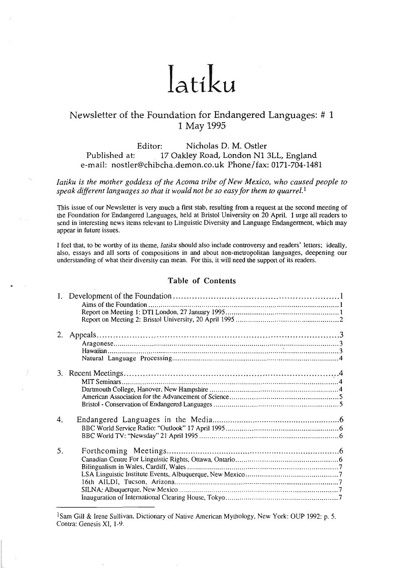# Iatiku

# Newsletter of the Foundation for Endangered Languages: # 1 1 May **1995**

Editor: Nicholas D. M. Ostler **PubIished** at: 17 Oakley Road. London N13LL. England e-mail: nostler@chibcha.demon.co.uk Phone/fax: 0171-704-1481

*Iatiku is the mother goddess of the Acoma tribe of New Mexico, who caused people to speak dijferent languages so that it would not be so easy for them to quarrel.1* 

This issue of our Newsletter is very much a first stab. resulting from a request at the second meeting of the Foundation for Endangered Languages, held at Bristol University on 20 April. I urge all readers to send in interesting news items relevant to Linguistic Diversity and Language Endangerment, which may appear in future issues.

I feel that. to be worthy of its theme. *Iatiku* should also include controversy and readers' letters; ideally. also. essays and all sorts of compositions in and about non-metropolitan languages. deepening our understanding of what their diversity can mean. For this, it will need the support of its readers.

# **Table of Contents**

<sup>1</sup>Sam Gill & Irene Sullivan, Dictionary of Native American Mythology, New York: OUP 1992: p. 5. Contra: Genesis XI. 1.9 .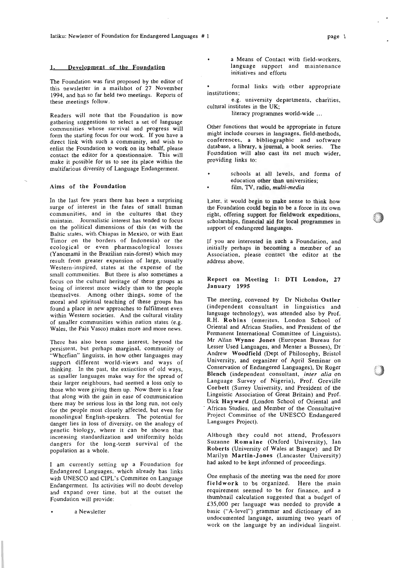### 1. Development of the Foundation

The Foundation was first proposed by the editor of this newsletter in a mailshot of 27 November 1994, and has so far held two meetings. Reports of these meetings follow.

Readers will note that the Foundation is now gathering suggestions to select a set of language communities whose survival and progress wilt form the starting focus for our work. If you have a direct link with such a community, and wish to enlist the Foundation to work on its behalf, please contact the editor for a questionnaire. This will make it possible for us to see its place within the multifarious diversity of Language Endangerment.

### Aims of the Foundation

In the last few years there has been a surprising surge of interest in the fates of small human communities, and in the cultures that they maintain. Journalistic interest has tended to focus on the political dimensions of this (as with the Baltic states, with Chiapas in Mexico, or with East Timor on the borders of Indonesia) or the ecological or even pharmacological losses (Yanomami in the Brazilian rain-forest) which may result from greater expansion of large, usually Western-inspired. states at the expense of the small communities. But there is also sometimes a focus on the cultural heritage of these groups as being of interest more widely than to the people themselves. Among other things. some of the moral and spiritual teaching of these groups has found a place in new approaches to fulfilment even within Western societies. And the cultural vitality of smaller communities within nation states (e.g. Wales. the Pais Vasco) makes more and more news.

There has also been some interest, beyond the persistent, but perhaps marginal, community of "Whorfian" linguists, in how other Languages may support different world-views and ways of thinking. In the past, the extinction of old ways, as smaller languages make way for the spread of their larger neighbours, had seemed a loss only to those who were giving them up. Now there is a fear that along with the gain in ease of communication there may be serious loss in the long run, not only for the people most closely affected, but even for monolingual English-speakers. The potential for danger lies in loss of diversity, on the analogy of genetic biology, where it can be shown that increasing standardization and uniformity holds dangers for the long-term survival of the population as a whole.

I am currently setting up a Foundation for Endangered Languages. which already has links with UNESCO and CIPL's Committee on Language Endangerment. Its activities will no doubt develop and expand over time. but at the outset the Foundation will provide:

a Newsletter

. a Means of Contact with field-workers. language support and maintenance initiatives and efforts

formal links with other appropriate institutions;

e.g. university departments. charities, cultural institutes in the UK;

literacy programmes world-wide ...

Other functions that would be appropriate in future might include courses in languages, field-methods, conferences, a bibliographic and software database, a library, a journal, a book series. The Foundation will also cast its net much wider, providing links to:

. schools at all levels, and forms of education other than universities; . film, **TV,** radio, *multi-media* 

Later, it would begin to make sense to think how the Foundation could begin to be a force in its'own right, offering support for fieldwork expeditions. scholarships, financial aid for local programmes in support of endangered languages.

If you are interested in such a Foundation, and initially perhaps in becoming a member of an Association, please contact the editor at the address above.

### Report on Meeting **1:** DTI London, 27 January 1995

The meeting, convened by Dr Nicholas Ostler (independent consultant in linguistics and language technology), was attended also by Prof. R.H. Robins (emeritus, London School of Oriental and African Studies, and President of the Permanent International Committee of Linguists), Mr Allan Wynne Jones (European Bureau for Lesser Used Languages, and Menter a Busnes). Dr Andrew Woodfield (Dept of Philosophy, Bristol University, and organizer of April Seminar on Conservation of Endangered Languages). Dr Roger Blench (independent consultant, *inter alia* on Language Survey of Nigeria), Prof. Greville Corbett (Surrey University, and President of the Linguistic Association of Great Britain) and Prof. Dick Hayward (London School of Oriental and African Studies, and Member of the Consultative Project Committee of the UNESCO Endangered Languages Project).

Although they could not attend, Professors Suzanne Romaine (Oxford University), Ian Roberts (University of Wales at Bangor) and Dr Marilyn Martin-Jones (Lancaster University) had asked to be kept informed of proceedings.

One emphasis of the meeting was the need for more fieldwork to be organized. Here the main requirement seemed to be for finance, and a thumbnail calculation suggested that a budget of **f35.000** per language was needed to provide a basic ("A-level") grammar and dictionary of an undocumented language, assuming two years of work on the language by an individual linguist.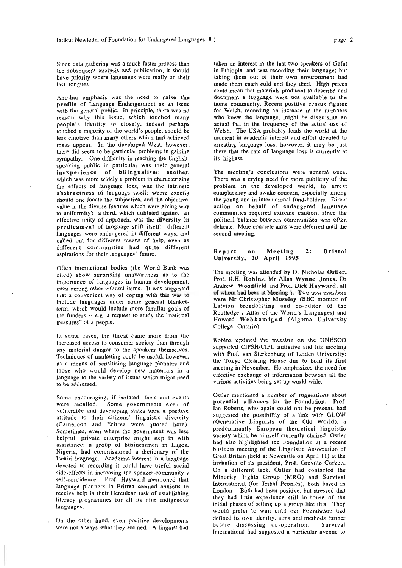Since data gathering was a much faster process than the subsequent analysis and publication, it should have priority where languages were really on their last tongues.

Another emphasis was the need to raise the profile of Language Endangerment as an issue with the general public. In principle, there was no reason why this issue, which touched many people's identity so closely, indeed perhaps touched a majority of the world's people, should be less emotive than many others which had achieved mass appeal. In the developed West, however, there did seem to be particular problems in gaining sympathy. One difficulty in reaching the Englishspeaking public in particular was their general inexperience of bilingualism; another, which was more widely a problem in characterizing the effects of language loss, was the intrinsic abstractness of language itself: where exactly should one locate the subjective, and the objective, value in the diverse features which were giving way to uniformity? a third, which militated against an effective unity of approach, was the diversity In predicament of language shift itself: different languages were endangered in different ways, and called out for different means of help, even as different communities had quite different aspirations for their languages' future.

Often international bodies (the World Bank was cited) show surprising unawareness as to the importance of languages in human development, even among other cultural items. It was suggested that a convenient way of coping with this was to include languages under some general blanketterm, which would include more familiar goals of the funders -- e.g. a request to study the "national treasures" of a people.

In some cases, the threat came more from the increased access to consumer society than through any material danger to the speakers themselves. Techniques of marketing could be useful, however, as a means of sensitising language planners and those who would develop new materials in a language to the variety of issues which might need to be addressed.

Some encouraging, if isolated, facts and events<br>were recalled. Some governments even of Some governments even of vulnerable and developing states took a positive attitude to their citizens' linguistic diversity (Cameroon and Eritrea were quoted here). Sometimes, even where the government was less helpful, private enterprise might step in with assistance: a group of businessmen in Lagos, Nigeria, had commissioned a dictionary of the Isekiri language. Academic interest in a language devoted to recording it could have useful social side-effects in increasing the speaker-community's self-confidence. Prof. Hayward mentioned that language planners in Eritrea seemed anxious to receive help in their Herculean task of establishing literacy programmes for all its nine indigenous languages.

were not always what they seemed. A linguist had

taken an interest in the last two speakers of Gafat in Ethiopia, and was recording their language; but taking them out of their own environment had made-them catch cold and they died. High prices could mean that materials produced to describe and document a language were not available to the home community. Recent positive census figures for Welsh. recording an increase in the numbers who knew the language. might be disguising an actual fall in the frequency of the actual use of Welsh. The USA probably leads the world at the moment in academic interest and effort devoted to arresting language loss: however, it may be just there that the rate of language loss is currently at its highest.

The meeting's conclusions were general ones. There was a crying need for more publicity of the problem in the developed world, to arrest complacency and awake concern, especially among the young and in international fund-holders. Direct action on behalf of endangered language communities required extreme caution, since the political balance between communities was often delicate. More concrete aims were deferred until the second meeting.

### Report on Meeting 2: Bristol University, 20 April 1995

The meeting was attended by Dr Nicholas Ostler, Prof. R.H. Robins. Mr Allan Wynne Jones. Dr Andrew Woodfield and Prof. Dick Hayward, all of whom had been at Meeting 1. Two new members were Mr Christopher Moseley (BBC monitor of Latvian broadcasting and co-editor of the Routledge's Atlas of the World's Languages) and Howard Webkamigad (Algoma University College, Ontario).

Robins updated the meeting on the UNESCO supported CIPSH/CIPL initiative and his meeting with Prof. van Sterkenburg of Leiden University: the Tokyo Clearing House due to bold its first meeting in November. He emphasized the need for effective exchange of information between all the various activities being set up world-wide.

Ostler mentioned a number of **suggestions** about potential alliances for the Foundation. Prof. Ian Roberts, who again could not be present, had suggested the possibility of a link with GLOW (Generative Linguists of the Old World), a predominantly European theoretical linguistic society which he himself currently chaired. Ostler had also highlighted the Foundation at a recent business meeting of the Linguistic Association of Great Britain (held at Newcastle on April 11) at the invitation of its president. Prof. Greville Corbett. On a different tack, Ostler had contacted the Minority Rights Group (MRG) and Survival International (for Tribal Peoples), both based in London. Both had been positive, but stressed that they had little experience still in-house of the initial phases of setting up a group like this. They would prefer to wait until our Foundation had defined its own identity, aims and methods further On the other hand, even positive developments<br>message of discussing co-operation. Survival International had suggested a particular avenue to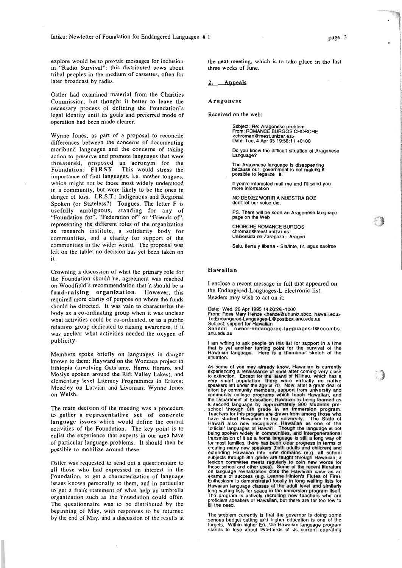explore would be to provide messages for inclusion the next meeting, which is to take place in the last in "Radio Survival": this distributed news about three weeks of June. in "Radio Survival": this distributed news about tribal peoples in the medium of cassettes. often for later broadcast by radio. of Foundation for Endangered Languages #1<br>
be to provide messages for inclusion<br>
be to provide messages for inclusion<br>
the next meeting, which is to take<br>
ival<sup>17</sup>: this distributed news about<br>
three weeks of June.<br>
by rad

Ostler had examined material from the Charities Commission, but thought it better to leave the necessary process of defining the Foundation's legal identity until its goals and preferred mode of operation had been made clearer.

Wynne Jones, as part of a proposal to reconcile differences between the concerns of documenting moribund languages and the concerns of taking action to preserve and promote languages that were threatened, proposed an acronym for the Foundation: FIRST. This would stress the importance of first languages, i.e. mother tongues. which might not be those most widely understood in a community, but were likely to be the ones in danger of loss. I.R.S.T.: Indigenous and Regional Spoken (or Stateless?) Tongues. The letter F is usefully ambiguous, standing for any of "Foundation for", "Federation of' or "Friends of', representing the different roles of the organization as research institute, a solidarity body for communities, and a charity for support of the communities in the wider world. The proposal was left on the table; no decision has yet been taken on it.

Crowning a discussion of what the primary role for the Foundation should be, agreement was reached on Woodfield's recommendation that it should be a fund-raising organization. However, this required more clarity of purpose on where the funds should be directed. It was vain to characterize the body as a co-ordinating group when it was unclear what activities could be co-ordinated, or as a public relations group dedicated to raising awareness, if it was unclear what activities needed the oxygen of publicity.

Members spoke briefly on languages in danger known to them: Hayward on the Wozzaqa project in Ethiopia (involving Gats'ame, Harro, Hararo, and Mosiye spoken around the Rift Valley Lakes), and elementary level Literacy Programmes in Eritrea; Moseley on Latvian and Livonian; Wynne Jones on Welsh.

The main decision of the meeting was a procedure to gather a representative set of concrete language issues which would define the central activities of the Foundation. The key point is to enlist the experience that experts in our area have of particular language problems. It should then be possible to mobilize around these.

Ostler was requested **to** send out a questionnaire to all those who had expressed an interest in the Foundation, to get a characterization of language issues known personally to them, and in particular to get a frank statement of what help an umbrella organization such as the Foundation could offer. The questionnaire was to be distributed by the beginning of May, with responses to be returned by the end of May, and a discussion of the results at

### Aragonese

Received on the web:

Subject: Re: Aragonese problem<br>From: ROMANCE BURGOS CHORCHE<br><chroman@mest unizar es> **<chroman~mest.unizar.es>**  Date: Tue, 4 Apr 95 19:56:11 +0100

Do you know the difficult situation of Aragonese<br>Language?

The Aragonese language is disappearing<br>because our government is not making it<br>possible to legalize it.

If you're interested mail me and I'll send<br>more information

NO DElXEZ MORlR **A** NUESTRA **BOZ**  don't let our voice die

PS. There will be soon an Aragonese language **page** on the **Web** 

CHORCHE ROMANCE BURGOS chroman@mest.unizar.es Unbersida de Zaragoza - Aragon

Salu, tierra y liberta - Sla/inte, tir, agus saoirse

### Hawaiian

I enclose a recent message in full that appeared on the Endangered-Languages-L electronic list. Readers may wish to act on it:

Dale: Wed, 26 Apr 1995 14:00:28 **-1000** 

From: Rose Mary Henze <henze@uhunix.uhcc. hawaii.edu><br>To:Endangered-Languages-L@postbox.anu.edu.au<br>Subject: support for Hawaiian

Sender: owner-endangered-languages-1@coombs. anu.edu.au

I am wrlting to ask people on this list for support in a time that is yet another lurnlng point lor the survival ol the Hawaiian language. Here is a thumbnail sketch of the situation:

As some of you may already know. Hawaiian is currently experiencing a renaissance of sons after coming very close to extinction. Except for the island of Ni'lhau, which has a<br>very small population, there were virtually no native<br>speakers left under the age of 70. Now, after a great deal of<br>effort by community members, support from uni being spoken widely in communities, and intergenerational<br>transmission of it as a home language is still a long way off<br>for most families, there has been clear progress in terms of<br>creating many new speakers (both adults a subiecls through 8th grade are taught through Hawaiian: a lexicon committee meets regularly to coin new words lor these school and other uses). Some of the recent literature<br>on language revitalization cites the Hawaiian case as an<br>example of success (e.g. Leanne Hinton's Flutes of Fire).<br>Enthusiasm is demonstrated locally in long wait Hawaiian language classes at the adult level and similarly long walting lists for space in the immersion program itself. The program is actively recruiting new teachers who are prollcient speakers 01 Hawaiian, but there are far too lew to fill the need.

The problem currently is that the governor is doing some serious budget cutting and higher education is one of the targets. Within higher Ed., the Hawaiian language program stands to lose about two-thirds of its current operating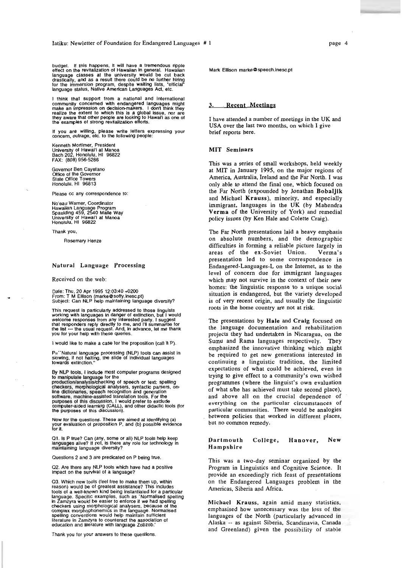budget. If this happens, it will have a tremendous ripple<br>effect on the revitalization of Hawaiian in general. Hawaiian<br>language classes at the university would be cut back<br>drastically, and as a result there could be no fu

I think that support from a national and international community concerned with endangered languages might make an impression on decision-makers. I don't think they realize the extent to whlch this is a global issue, nor are they aware that other people are looking to Hawai'i as one of the exarrples of strong revilallzatbn elforts.

If you are willing, please write letters expressing your concern. outrage, etc. to the following people:

Kenneth Mortimer, President<br>University of Hawai'i at Manoa<br>Bach 202, Honolulu, HI 96822 FAX: (808) 956-5286

Governor Ben Cayetano<br>Office of the Governor<br>State Office Towers<br>Useablic Ull Honolulu, HI 96813

Please **cc** any correspondence to:

No'eau Warner. Coordinator Hawailan Language Program<br>Spaulding 459, 2540 Maile Way<br>University of Hawai'i at Manoa<br>Honolulu, HI 96822

Thank you,

Rosemary Henze

### Natural Language Processing

Received on the web:

Dale: Thu, 20 Apr 1995 12:03:40 +0200<br>From: T M Ellison (marke@softy.inesc.pt)<br>Subjecl: Can NLP help malntaining language diversity?

This request is particularly addressed to those lingulsts working with languages in danger of extinction, but I would welcome responses from any interested party. I suggest<br>that responders reply directly to me, and I'll summarise for<br>the list --- the usual request. And, In advance, let me thank<br>you for your help with these queries.

I would like to make a case for the proposition (call it P).

P=``Natural language processing (NLP) tools can assist in<br>slowing, if not halting, the slide of individual languages<br>towards extinction."

**By** NW tools. I Include most computer programs designed to manipulate language for the

production/analysis/checking of speech or text: spelling<br>checkers, morphological analysers, syntactic parsers, on-<br>line dictionaries, speech recognition and generation<br>software, machine-assisted translation tools. For the<br>

Now for the questions. These are aimed at identifying (a)<br>your evaluation of proposition P, and (b) possible evidence<br>for it.

Q1. Is P true? Can (any, some or all) NLP tools help keep<br>languages alive? If not, is there any role for technology in<br>maintaining language diversity?

Questions 2 and 3 are predicated on P being true.

**02.** Are there any NLP 1001s whlch have had a positive impact on the survhral 01 a language?

O3. Which new tools (feel free to make them up, within includes reason) would be of greatest assistance? This includes tools of a well-known kind being instantialed for a particular language. Specific examples, such as 'No in Zamzyra would be easier to enforce if we had spelling<br>checkers using morphological analysers, because of the<br>complex morphophonemics in the language. Normalised spelllng conventions would help maintain sufficienl literature in Zamryra to counteract the association of education and literature with language Zobzob.'

Thank you for your answers lo these queslions.

Mark Ellison marke@speech.inesc.pt

## Recent Meetings

I have attended a number of meetings in the UK and USA over the last two months, on which I give brief reports here.

### **MIT** Seminars

This was a series of small workshops, held weekly at **MIT** in January 1995, on the major regions of America. Australia, Ireland and the Far North. I was only able to attend the final one, which focused on the Far North (expounded by Jonathan Bobaljik and Michael Krauss), minority, and especially immigrant, languages in the UK (by Mahendra Verma of the University of York) and remedial policy issues (by Ken Hale and Colette Craig).

The **Far** North presentations laid a heavy emphasis on absolute numbers, and the demographic difficulties in forming a reliable picture largely in<br>areas of the ex-Soviet Union. Verma's areas of the ex-Soviet Union. presentation led to some correspondence in Endangered-Languages-L on the Internet, as to the level of concern due for immigrant languages which may not survive in the context of their new homes: the linguistic response to a unique social situation is endangered. but the variety developed is of very recent origin, and usually the linguistic roots in the home country are not at risk.

The presentations by Hale and Craig focused on the language documentation and rehabilitation projects they had undertaken in Nicaragua, on the Sumu and Rama languages respectively. They emphasized the innovative thinking which might be required to get new generations interested in continuing a linguistic tradition, the limited expectations of what could be achieved, even in trying to give effect to a community's own wished programmes (where the linguist's own evaluation of what she has achieved must take second place), and above all on the crucial dependence of everything on the particular circumstances of particular communities. There would be analogies . between policies that worked in different places, but no common remedy.

### Dartmouth College, Hanover, New Hampshire

This was a two-day seminar organized by the Program in Linguistics and Cognitive Science. It provide an exceedingly rich feast of presentations on the Endangered Languages problem in the Americas. Siberia and Africa.

Michael Krauss, again amid many statistics. emphasised how unnecessary was the loss of the languages of the North (particularly advanced in Alaska -- as against Siberia, Scandinavia, Canada and Greenland) given the possibility of stable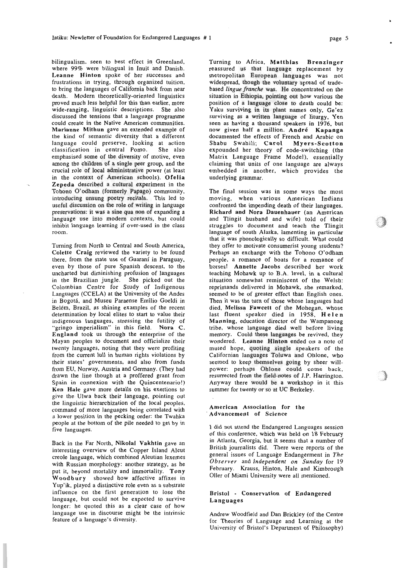bilingualism. seen to best effect in Greenland, where **99%** were bilingual in Inuit and Danish. Leanne Hinton spoke of her successes and frustrations in trying, through organized tuition, to bring the languages of California back from near death. Modern theoretically-oriented linguistics proved much less helpful for this than earlier. more wide-ranging, linguistic descriptions. She also discussed the tensions that a language programme could create in the Native American communities. Marianne Mithun gave an extended example of the kind of semantic diversity that a different language could preserve, looking at action<br>classification in central Pomo. She also classification in central Pomo. emphasised some of the diversity of motive, even among the children of a single peer group, and the crucial role of local administrative power (at least in the context of American schools). Ofelia Zepeda described a cultural experiment in the Tohono O'odham (formerly Papago) community, introducing unsung poetry recitals. This led to useful discussion on the role of writing in language preservations: it was a sine qua non of expanding a language use into modern contexts, but could inhibit language learning if over-used in the class room.

Turning from North to Central and South America, Colette Craig reviewed the variety to be found there, from the state use of Guarani in Paraguay. even by those of pure Spanish descent, to the uncharted but diminishing profusion of languages in the Brazilian jungle. She picked out the Colombian Centre for Study of Indigenous Languages (CCELA) at the University of the Andes in Bogotá, and Museu Paraense Emîlio Goeldi in Belém. Brazil, as shining examples of the recent determination by local elites to start **to** value their indigenous languages. stressing the futility of "gringo imperialism" in this field. Nora C. England took us through the enterprise of the Mayan peoples to document and officialize their twenty languages, noting that they were profiting from the current lull in human rights violations by their states' governments, and also from funds from EU, Norway, Austria and Germany. (They had drawn the line though at a proffered grant from Spain in connexion with the Quincentenario!) Ken Hale gave more details on his exertions to give the Ulwa back their language, pointing out the linguistic hierarchization of the local peoples, command of more languages being correlated with a lower position in the pecking order: the Twahka people at the bottom of the pile needed to get by in five languages.

Back in the Far North. Nikolai Vakhtin gave an interesting overview of the Copper Island Aleut creole language, which combined Aleutian lexemes with Russian morphology: another strategy, as he put it, beyond mortality and immortality. Tony Woodbury showed how affective affixes in Yup'ik. played a distinctive role even as **a.** substrate influence on the first generation to lose the language, but could not be expected to survive longer: he quoted this as a clear case of how language use in discourse might be the intrinsic feature of a language's diversity.

Turning to Africa, Matthias Brenzinger reassured us that language replacement by metropolitan European languages was not widespread, though the voluntary spread of tradebased *lingue franche* was. He concentrated on the situation in Ethiopia, pointing out how various the position of a language close to death could be: Yaku surviving in its plant names only, Ge'ez surviving as a written language of liturgy, Yen seen as having a thousand speakers in **1976,** but now given half a million. Andre Kapanga documented the effects of French and Arabic on Shabu Swahili; Carol Myers-Scotton expounded her theory of code-switching (the Matrix Language Frame Model). essentially claiming that units of one language are always embedded in another, which provides the underlying grammar.

The final session was in some ways the most moving, when various American Indians confronted the impending death of their languages. Richard and Nora Dauenhauer (an American and Tlingit husband and wife) told of their struggles to document and teach the Tlingit language of south Alaska, lamenting in particular that it was phonologically so difficult. What could they offer to motivate consumerist young students? Perhaps an exchange with the Tohono O'odham people, a romance of boats for a romance of horses! Annette Jacobs described her work teaching Mohawk up to B.A. level, in a cultural situation somewhat reminiscent of the Welsh: reprimands delivered in Mohawk, she remarked. seemed to be of greater effect than English ones. Then it was the turn of those whose languages had died, Melissa Fawcett of the Mohegan. whose last fluent speaker died in **1958,** Helen Manning, education director of the Wampanoag tribe, whose language died well before living memory. Could these languages be revived, they wondered. Leanne Hinton ended on a note of muted hope, quoting single speakers of the Californian languages Toluwa and Ohlone, who seemed to keep themselves going by sheer willpower: perhaps Ohlone could come **back.**  resurrected from the field-notes of J.P. Harrington. Anyway there would be a workshop in it this summer for twenty or so at UC Berkeley.

### American Association for the Advancement or Science

I did not attend the Endangered Languages session of this conference, which was held on **18** February in Atlanta, Georgia, but it seems that a number of British journalists did. There were reports of the general issues of Language Endangerment in *The Observer* and *Independent on Sunday* for *19*  February. Krauss, Hinton, Hale and Kimbrough Oller of Miami University were all mentioned.

### Bristol - Conservation of Endangered Languages

Andrew Woodfield and Dan Brickley (of the Centre for Theories of Language and Learning at the University of Bristol's Department of Philosophy)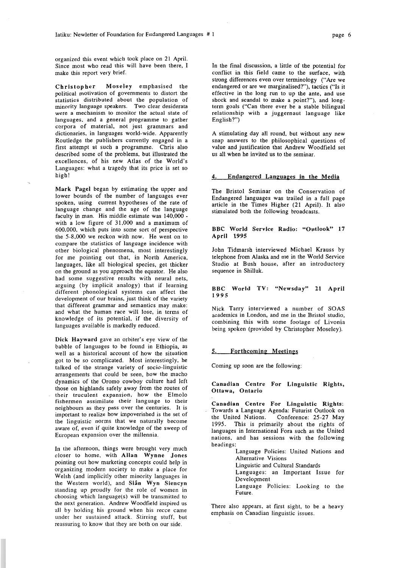organized this event which took place on 21 April. Since most who read this will have been there, I make this report very brief.

Christopher Moseley emphasised the political motivation of governments to distort the statistics distributed about the population of minority language speakers. Two clear desiderata were a mechanism to monitor the actual state of languages. and a general programme to gather corpora of material. not just grammars and dictionaries. in languages world-wide. Apparently Routledge the publishers currently engaged in a first attempt at such a programme. Chris also described some of the problems, but illustrated the excellences, of his new Atlas of the World's Languages: what a tragedy that its price is set so high!

Mark Pagel began by estimating the upper and lower bounds of the number of languages ever spoken, using current hypotheses of the rate of language change and the age of the language faculty in man. His middle estimate was 140,000 with a low figure of 31,000 and a maximum of 600.000, which puts into some sort of perspective the 5-8.000 we reckon with now. He went on to compare the statistics of language incidence with other biological phenomena, most interestingly for me pointing out that, in North America, Ianguages, like all biological species, get thicker on the ground as you approach the equator. He also had some suggestive results with neural nets, arguing (by implicit analogy) that if learning different phonological systems can affect the development of our brains, just think of the variety that different grammar and semantics may make: and what the human race will lose, in terms of knowledge of its potential, if the diversity of languages available is markedly reduced.

Dick Hayward gave an orbiter's eye view of the babble of languages to be found in Ethiopia. as well as a historical account of how the situation got to be so complicated. Most interestingly, he talked of the strange variety of socio-linguistic arrangements that could be seen, how the macho dynamics of the Oromo cowboy culture had left those on highlands safely away from the routes of their truculent expansion, how the Elmolo fishermen assimilate their language to their neighbours as they pass over the centuries. It is important to realize how impoverished is the set of the linguistic norms that we naturally become aware of, even if quite knowledge of the sweep of European expansion over the millennia.

In the afternoon, things were brought very much closer to home, with Allan Wynne Jones pointing out how marketing concepts could help in organizing modern society to make a place for Welsh (and implicitly other minority languages in the Western world), and Sian Wyn Siencyn standing up proudly for the role of women in choosing which language(s) will be transmitted to the next generation. Andrew Woodfield inspired us all by holding his ground when his recce came under her sustained attack. Stirring stuff, but reassuring to know that they are both on our side.

In the final discussion, a little of the potential for conflict in this field came to the surface, with strong differences even over terminology ("Are we endangered or are we marginalised?')), tactics ("Is it effective in the long run to up the ante, and use shock and scandal to make a point?"), and longterm goals ("Can there ever be a stable bilingual relationship with a juggernaut language like English?")

A stimulating day all round, but without any new snap answers to the philosophical questions of value and justification that Andrew Woodfield set us all when he invited us to the seminar.

### 4. Endangered Languapes in the Media

The Bristol Seminar on the Conservation of Endangered languages was trailed in a full page article in the Times Higher (21 April). It also stimulated both the following broadcasts.

### BBC World Service Radio: "Outlook" 17 April **1995**

John Tidmarsh interviewed Michael Krauss by telephone from Alaska and me in the World Service Studio at Bush house, after an introductory sequence in Shilluk.

### BBC World TV: "Newsday" 21 April **1995**

Nick Tarry interviewed a number of SOAS academics in London, and me in the Bristol studio, combining this with some footage of Livonia being spoken (provided by Christopher Moseley).

### 5. Forthcoming Meetings

Coming up soon are the following:

Canadian Centre For Linguistic Rights, Ottawa, Ontario

Canadian Centre For Linguistic Rights: Towards a Language Agenda: Futurist Outlook on Conference: 25-27 May 1995. This is primarily about the rights of languages in International Fora such as the United nations, and has sessions with the following headings:

Language Policies: United Nations and Alternative Visions Linguistic and Cultural Standards

Languages: an Important Issue for

Development

Language Policies: Looking to the Future.

There also appears. at first sight, to be a heavy emphasis on Canadian linguistic issues.